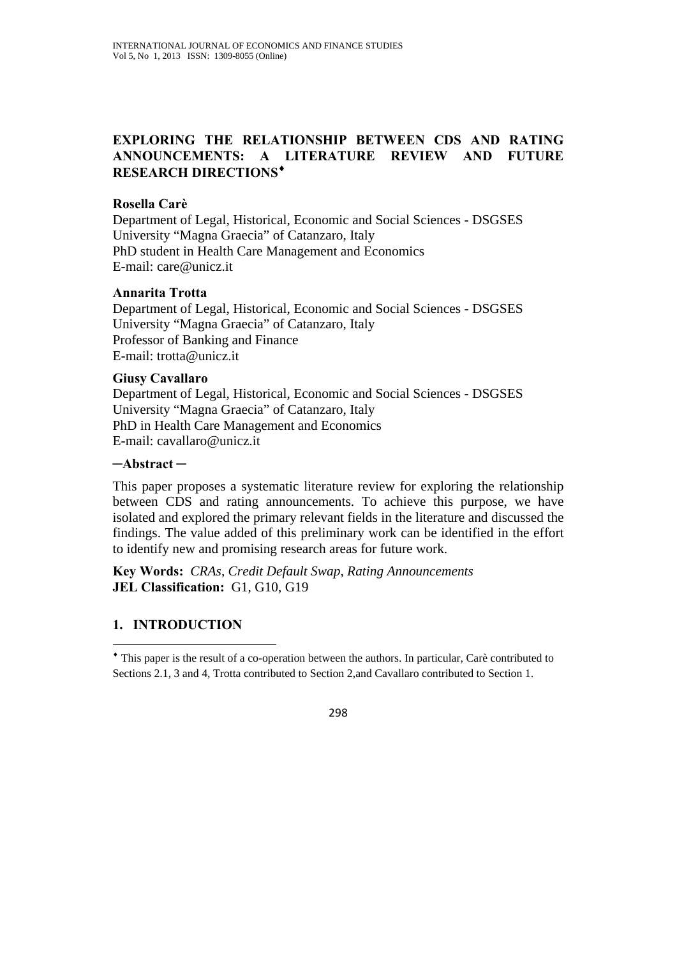# **EXPLORING THE RELATIONSHIP BETWEEN CDS AND RATING ANNOUNCEMENTS: A LITERATURE REVIEW AND FUTURE RESEARCH DIRECTIONS**♦

#### **Rosella Carè**

Department of Legal, Historical, Economic and Social Sciences - DSGSES University "Magna Graecia" of Catanzaro, Italy PhD student in Health Care Management and Economics E-mail: care@unicz.it

### **Annarita Trotta**

Department of Legal, Historical, Economic and Social Sciences - DSGSES University "Magna Graecia" of Catanzaro, Italy Professor of Banking and Finance E-mail: trotta@unicz.it

#### **Giusy Cavallaro**

Department of Legal, Historical, Economic and Social Sciences - DSGSES University "Magna Graecia" of Catanzaro, Italy PhD in Health Care Management and Economics E-mail: cavallaro@unicz.it

#### **─Abstract ─**

This paper proposes a systematic literature review for exploring the relationship between CDS and rating announcements. To achieve this purpose, we have isolated and explored the primary relevant fields in the literature and discussed the findings. The value added of this preliminary work can be identified in the effort to identify new and promising research areas for future work.

**Key Words:** *CRAs, Credit Default Swap, Rating Announcements*  **JEL Classification:** G1, G10, G19

# **1. INTRODUCTION**

<sup>♦</sup> This paper is the result of a co-operation between the authors. In particular, Carè contributed to Sections 2.1, 3 and 4, Trotta contributed to Section 2,and Cavallaro contributed to Section 1.

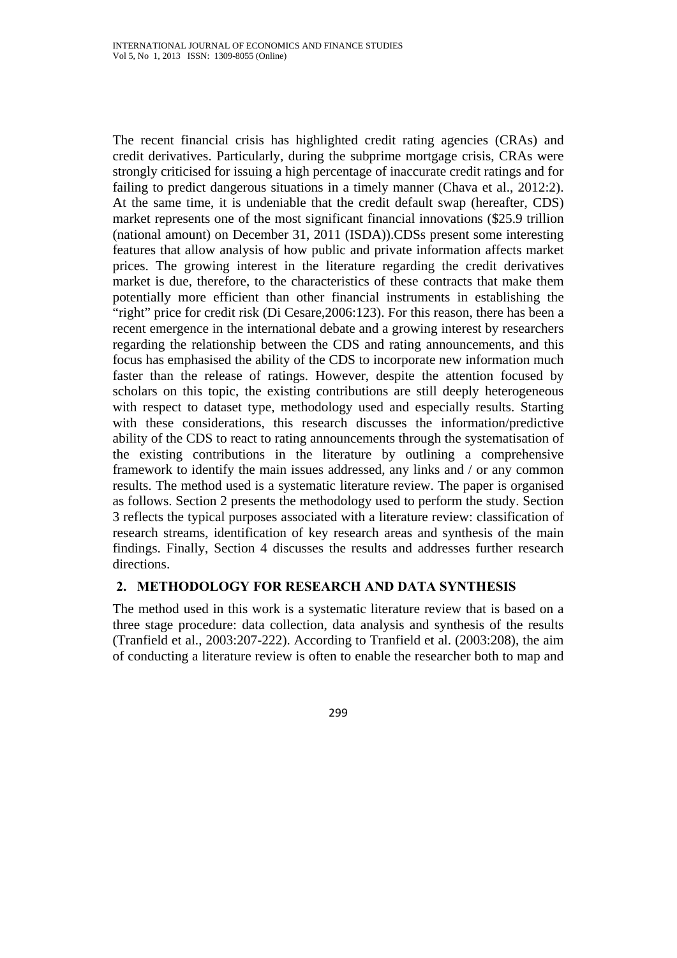The recent financial crisis has highlighted credit rating agencies (CRAs) and credit derivatives. Particularly, during the subprime mortgage crisis, CRAs were strongly criticised for issuing a high percentage of inaccurate credit ratings and for failing to predict dangerous situations in a timely manner (Chava et al., 2012:2). At the same time, it is undeniable that the credit default swap (hereafter, CDS) market represents one of the most significant financial innovations (\$25.9 trillion (national amount) on December 31, 2011 (ISDA)).CDSs present some interesting features that allow analysis of how public and private information affects market prices. The growing interest in the literature regarding the credit derivatives market is due, therefore, to the characteristics of these contracts that make them potentially more efficient than other financial instruments in establishing the "right" price for credit risk (Di Cesare, 2006:123). For this reason, there has been a recent emergence in the international debate and a growing interest by researchers regarding the relationship between the CDS and rating announcements, and this focus has emphasised the ability of the CDS to incorporate new information much faster than the release of ratings. However, despite the attention focused by scholars on this topic, the existing contributions are still deeply heterogeneous with respect to dataset type, methodology used and especially results. Starting with these considerations, this research discusses the information/predictive ability of the CDS to react to rating announcements through the systematisation of the existing contributions in the literature by outlining a comprehensive framework to identify the main issues addressed, any links and / or any common results. The method used is a systematic literature review. The paper is organised as follows. Section 2 presents the methodology used to perform the study. Section 3 reflects the typical purposes associated with a literature review: classification of research streams, identification of key research areas and synthesis of the main findings. Finally, Section 4 discusses the results and addresses further research directions.

# **2. METHODOLOGY FOR RESEARCH AND DATA SYNTHESIS**

The method used in this work is a systematic literature review that is based on a three stage procedure: data collection, data analysis and synthesis of the results (Tranfield et al., 2003:207-222). According to Tranfield et al. (2003:208), the aim of conducting a literature review is often to enable the researcher both to map and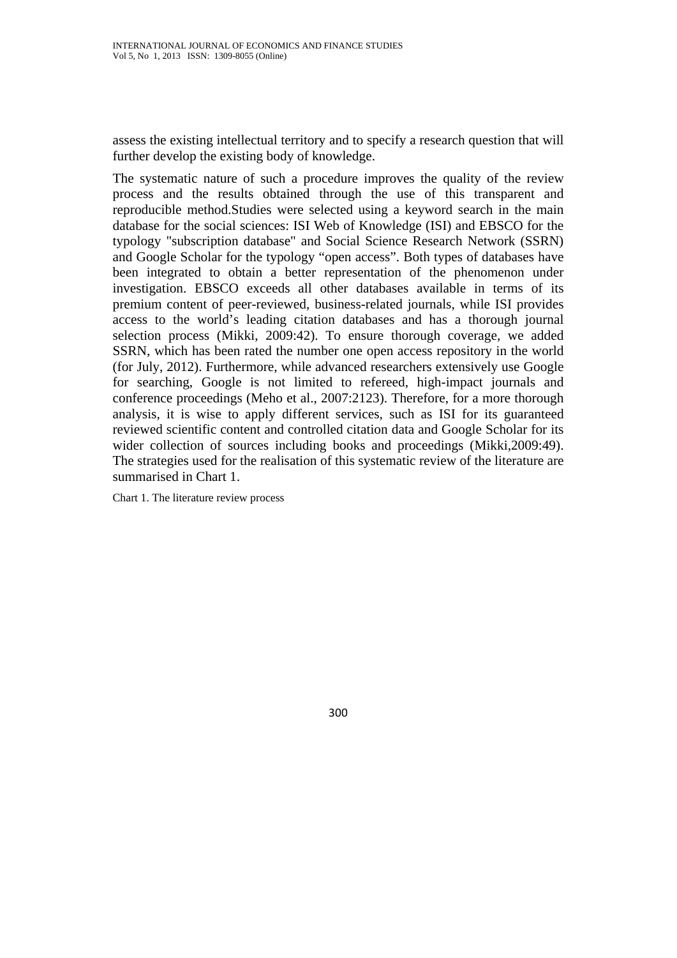assess the existing intellectual territory and to specify a research question that will further develop the existing body of knowledge.

The systematic nature of such a procedure improves the quality of the review process and the results obtained through the use of this transparent and reproducible method.Studies were selected using a keyword search in the main database for the social sciences: ISI Web of Knowledge (ISI) and EBSCO for the typology "subscription database" and Social Science Research Network (SSRN) and Google Scholar for the typology "open access". Both types of databases have been integrated to obtain a better representation of the phenomenon under investigation. EBSCO exceeds all other databases available in terms of its premium content of peer-reviewed, business-related journals, while ISI provides access to the world's leading citation databases and has a thorough journal selection process (Mikki, 2009:42). To ensure thorough coverage, we added SSRN, which has been rated the number one open access repository in the world (for July, 2012). Furthermore, while advanced researchers extensively use Google for searching, Google is not limited to refereed, high-impact journals and conference proceedings (Meho et al., 2007:2123). Therefore, for a more thorough analysis, it is wise to apply different services, such as ISI for its guaranteed reviewed scientific content and controlled citation data and Google Scholar for its wider collection of sources including books and proceedings (Mikki,2009:49). The strategies used for the realisation of this systematic review of the literature are summarised in Chart 1.

Chart 1. The literature review process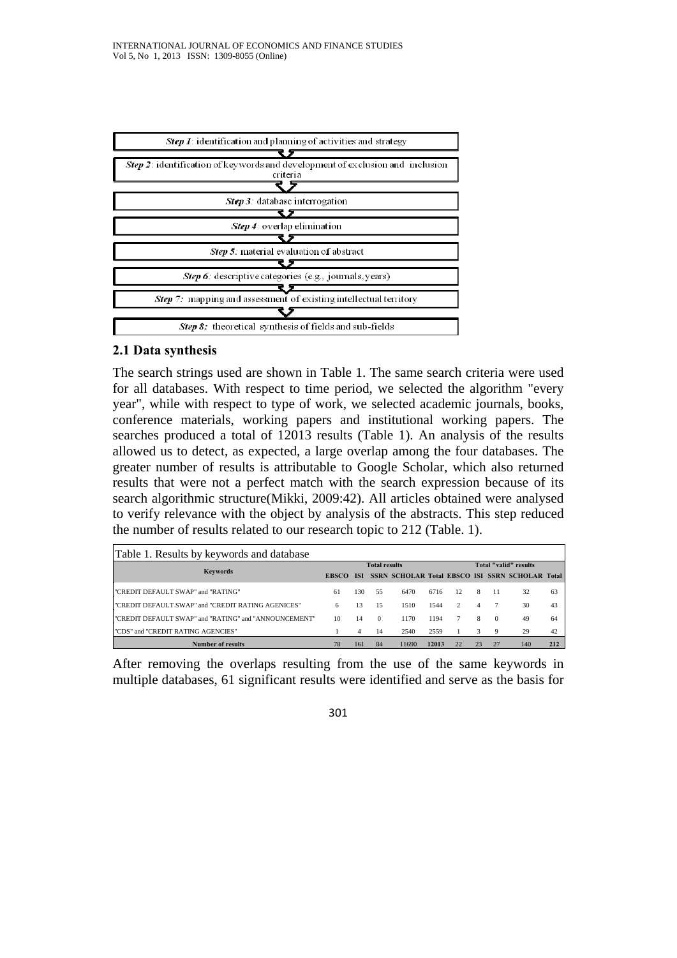

## **2.1 Data synthesis**

The search strings used are shown in Table 1. The same search criteria were used for all databases. With respect to time period, we selected the algorithm "every year", while with respect to type of work, we selected academic journals, books, conference materials, working papers and institutional working papers. The searches produced a total of 12013 results (Table 1). An analysis of the results allowed us to detect, as expected, a large overlap among the four databases. The greater number of results is attributable to Google Scholar, which also returned results that were not a perfect match with the search expression because of its search algorithmic structure(Mikki, 2009:42). All articles obtained were analysed to verify relevance with the object by analysis of the abstracts. This step reduced the number of results related to our research topic to 212 (Table. 1).

| Table 1. Results by keywords and database             |     |                      |          |       |       |                       |    |          |                                                        |     |
|-------------------------------------------------------|-----|----------------------|----------|-------|-------|-----------------------|----|----------|--------------------------------------------------------|-----|
| <b>Keywords</b>                                       |     | <b>Total results</b> |          |       |       | Total "valid" results |    |          |                                                        |     |
|                                                       |     | ISI                  |          |       |       |                       |    |          | <b>SSRN SCHOLAR Total EBSCO ISI SSRN SCHOLAR Total</b> |     |
| "CREDIT DEFAULT SWAP" and "RATING"                    | -61 | 130                  | 55       | 6470  | 6716  | $12^{\circ}$          | 8  | - 11     | 32                                                     | 63  |
| "CREDIT DEFAULT SWAP" and "CREDIT RATING AGENICES"    | 6   | 13                   | 15       | 1510  | 1544  | $\mathcal{P}$         | 4  |          | 30                                                     | 43  |
| "CREDIT DEFAULT SWAP" and "RATING" and "ANNOUNCEMENT" | 10  | 14                   | $\Omega$ | 1170  | 1194  |                       | 8  | $\Omega$ | 49                                                     | 64  |
| "CDS" and "CREDIT RATING AGENCIES"                    |     | 4                    | 14       | 2540  | 2559  |                       | 3  | -9       | 29                                                     | 42  |
| Number of results                                     | 78  | 161                  | 84       | 11690 | 12013 | 22                    | 23 | 27       | 140                                                    | 212 |

After removing the overlaps resulting from the use of the same keywords in multiple databases, 61 significant results were identified and serve as the basis for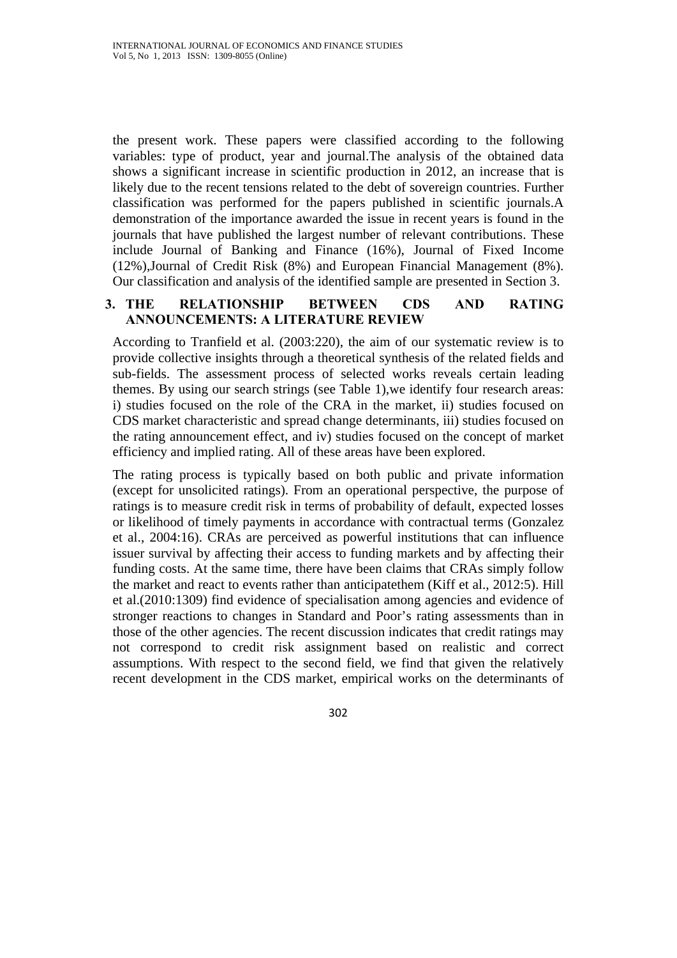the present work. These papers were classified according to the following variables: type of product, year and journal.The analysis of the obtained data shows a significant increase in scientific production in 2012, an increase that is likely due to the recent tensions related to the debt of sovereign countries. Further classification was performed for the papers published in scientific journals.A demonstration of the importance awarded the issue in recent years is found in the journals that have published the largest number of relevant contributions. These include Journal of Banking and Finance (16%), Journal of Fixed Income (12%),Journal of Credit Risk (8%) and European Financial Management (8%). Our classification and analysis of the identified sample are presented in Section 3.

## **3. THE RELATIONSHIP BETWEEN CDS AND RATING ANNOUNCEMENTS: A LITERATURE REVIEW**

According to Tranfield et al. (2003:220), the aim of our systematic review is to provide collective insights through a theoretical synthesis of the related fields and sub-fields. The assessment process of selected works reveals certain leading themes. By using our search strings (see Table 1),we identify four research areas: i) studies focused on the role of the CRA in the market, ii) studies focused on CDS market characteristic and spread change determinants, iii) studies focused on the rating announcement effect, and iv) studies focused on the concept of market efficiency and implied rating. All of these areas have been explored.

The rating process is typically based on both public and private information (except for unsolicited ratings). From an operational perspective, the purpose of ratings is to measure credit risk in terms of probability of default, expected losses or likelihood of timely payments in accordance with contractual terms (Gonzalez et al., 2004:16). CRAs are perceived as powerful institutions that can influence issuer survival by affecting their access to funding markets and by affecting their funding costs. At the same time, there have been claims that CRAs simply follow the market and react to events rather than anticipatethem (Kiff et al., 2012:5). Hill et al.(2010:1309) find evidence of specialisation among agencies and evidence of stronger reactions to changes in Standard and Poor's rating assessments than in those of the other agencies. The recent discussion indicates that credit ratings may not correspond to credit risk assignment based on realistic and correct assumptions. With respect to the second field, we find that given the relatively recent development in the CDS market, empirical works on the determinants of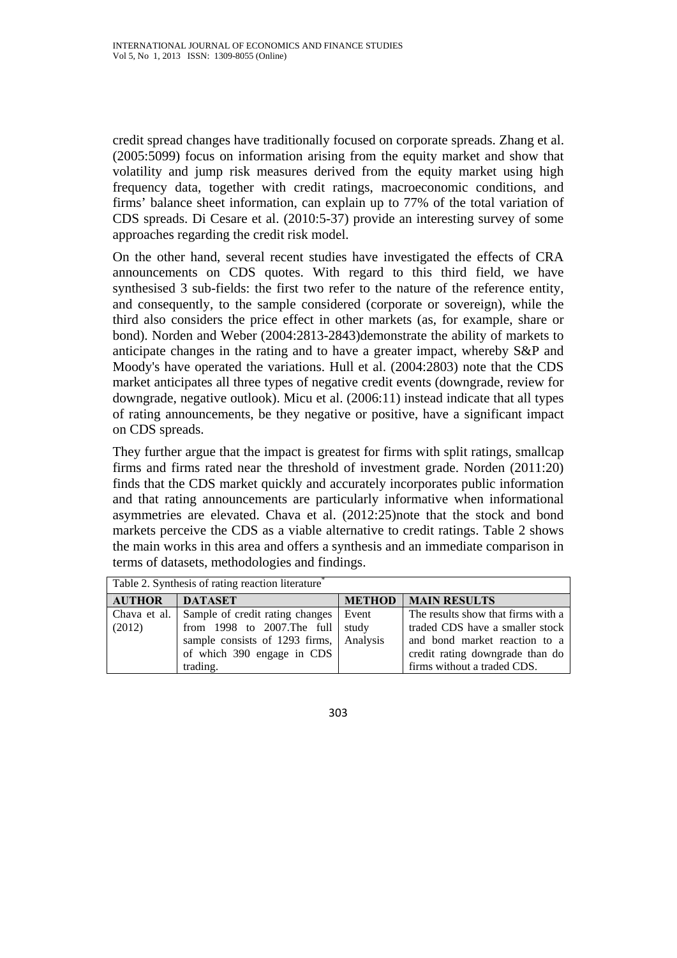credit spread changes have traditionally focused on corporate spreads. Zhang et al. (2005:5099) focus on information arising from the equity market and show that volatility and jump risk measures derived from the equity market using high frequency data, together with credit ratings, macroeconomic conditions, and firms' balance sheet information, can explain up to 77% of the total variation of CDS spreads. Di Cesare et al. (2010:5-37) provide an interesting survey of some approaches regarding the credit risk model.

On the other hand, several recent studies have investigated the effects of CRA announcements on CDS quotes. With regard to this third field, we have synthesised 3 sub-fields: the first two refer to the nature of the reference entity, and consequently, to the sample considered (corporate or sovereign), while the third also considers the price effect in other markets (as, for example, share or bond). Norden and Weber (2004:2813-2843)demonstrate the ability of markets to anticipate changes in the rating and to have a greater impact, whereby S&P and Moody's have operated the variations. Hull et al. (2004:2803) note that the CDS market anticipates all three types of negative credit events (downgrade, review for downgrade, negative outlook). Micu et al. (2006:11) instead indicate that all types of rating announcements, be they negative or positive, have a significant impact on CDS spreads.

They further argue that the impact is greatest for firms with split ratings, smallcap firms and firms rated near the threshold of investment grade. Norden (2011:20) finds that the CDS market quickly and accurately incorporates public information and that rating announcements are particularly informative when informational asymmetries are elevated. Chava et al. (2012:25)note that the stock and bond markets perceive the CDS as a viable alternative to credit ratings. Table 2 shows the main works in this area and offers a synthesis and an immediate comparison in terms of datasets, methodologies and findings.

| Table 2. Synthesis of rating reaction literature <sup>7</sup> |                                                        |               |                                    |  |  |  |
|---------------------------------------------------------------|--------------------------------------------------------|---------------|------------------------------------|--|--|--|
| <b>AUTHOR</b>                                                 | <b>DATASET</b>                                         | <b>METHOD</b> | <b>MAIN RESULTS</b>                |  |  |  |
|                                                               | Chava et al.   Sample of credit rating changes   Event |               | The results show that firms with a |  |  |  |
| (2012)                                                        | from 1998 to 2007. The full study                      |               | traded CDS have a smaller stock    |  |  |  |
|                                                               | sample consists of 1293 firms, Analysis                |               | and bond market reaction to a      |  |  |  |
|                                                               | of which 390 engage in CDS                             |               | credit rating downgrade than do    |  |  |  |
|                                                               | trading.                                               |               | firms without a traded CDS.        |  |  |  |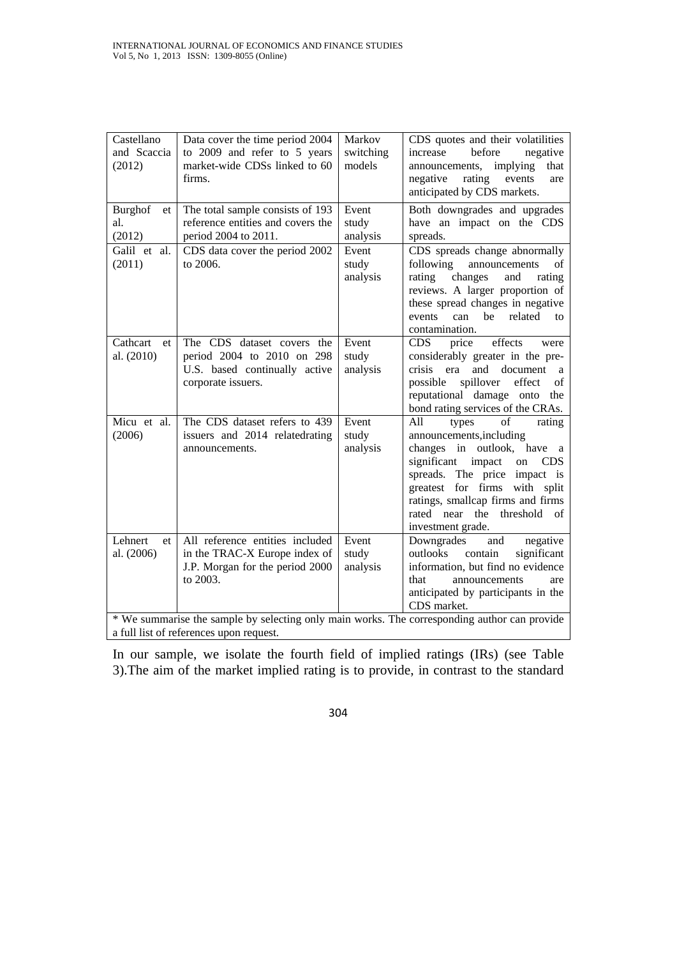| Castellano<br>and Scaccia<br>(2012) | Data cover the time period 2004<br>to 2009 and refer to 5 years<br>market-wide CDSs linked to 60<br>firms.      | Markov<br>switching<br>models | CDS quotes and their volatilities<br>before<br>increase<br>negative<br>announcements, implying<br>that<br>rating<br>negative<br>events<br>are<br>anticipated by CDS markets.                                                                                                                     |
|-------------------------------------|-----------------------------------------------------------------------------------------------------------------|-------------------------------|--------------------------------------------------------------------------------------------------------------------------------------------------------------------------------------------------------------------------------------------------------------------------------------------------|
| Burghof<br>et<br>al.<br>(2012)      | The total sample consists of 193<br>reference entities and covers the<br>period 2004 to 2011.                   | Event<br>study<br>analysis    | Both downgrades and upgrades<br>have an impact on the CDS<br>spreads.                                                                                                                                                                                                                            |
| Galil et al.<br>(2011)              | CDS data cover the period 2002<br>to 2006.                                                                      | Event<br>study<br>analysis    | CDS spreads change abnormally<br>following<br>announcements<br>of<br>rating<br>changes<br>and<br>rating<br>reviews. A larger proportion of<br>these spread changes in negative<br>related<br>be<br>events<br>can<br>to<br>contamination.                                                         |
| Cathcart<br>et<br>al. (2010)        | The CDS dataset covers the<br>period 2004 to 2010 on 298<br>U.S. based continually active<br>corporate issuers. | Event<br>study<br>analysis    | effects<br>CDS<br>price<br>were<br>considerably greater in the pre-<br>and document<br>crisis era<br>a<br>spillover<br>effect<br>possible<br>of<br>reputational damage onto<br>the<br>bond rating services of the CRAs.                                                                          |
| Micu et al.<br>(2006)               | The CDS dataset refers to 439<br>issuers and 2014 relatedrating<br>announcements.                               | Event<br>study<br>analysis    | All<br>types<br>of<br>rating<br>announcements, including<br>changes in outlook, have a<br>significant<br>impact<br><b>CDS</b><br>on<br>spreads. The price impact is<br>greatest for firms<br>with split<br>ratings, smallcap firms and firms<br>rated near the threshold of<br>investment grade. |
| Lehnert<br>et<br>al. (2006)         | All reference entities included<br>in the TRAC-X Europe index of<br>J.P. Morgan for the period 2000<br>to 2003. | Event<br>study<br>analysis    | Downgrades<br>and<br>negative<br>outlooks<br>contain<br>significant<br>information, but find no evidence<br>announcements<br>that<br>are<br>anticipated by participants in the<br>CDS market.<br>* We summarise the sample by selecting only main works. The corresponding author can provide    |

We summarise the sample by selecting only main works. The corresponding author can provide a full list of references upon request.

In our sample, we isolate the fourth field of implied ratings (IRs) (see Table 3).The aim of the market implied rating is to provide, in contrast to the standard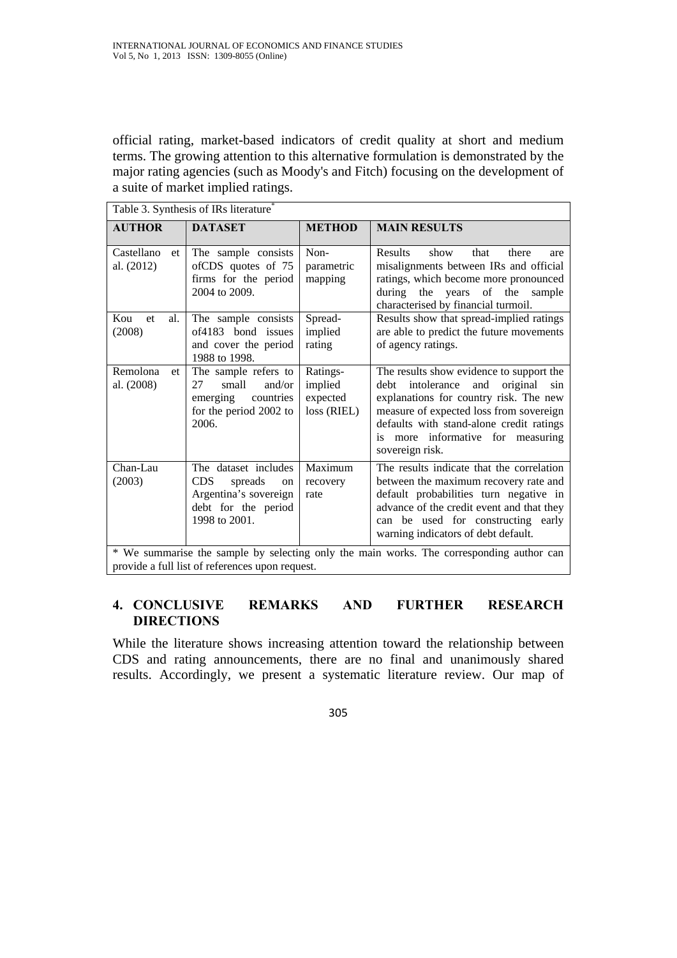official rating, market-based indicators of credit quality at short and medium terms. The growing attention to this alternative formulation is demonstrated by the major rating agencies (such as Moody's and Fitch) focusing on the development of a suite of market implied ratings.

| Table 3. Synthesis of IRs literature <sup>*</sup>                                        |                                                                                                                                 |                                                |                                                                                                                                                                                                                                                                                        |  |  |  |
|------------------------------------------------------------------------------------------|---------------------------------------------------------------------------------------------------------------------------------|------------------------------------------------|----------------------------------------------------------------------------------------------------------------------------------------------------------------------------------------------------------------------------------------------------------------------------------------|--|--|--|
| <b>AUTHOR</b>                                                                            | <b>DATASET</b>                                                                                                                  | <b>METHOD</b>                                  | <b>MAIN RESULTS</b>                                                                                                                                                                                                                                                                    |  |  |  |
| Castellano<br>et l<br>al. (2012)                                                         | The sample consists<br>ofCDS quotes of 75<br>firms for the period<br>2004 to 2009.                                              | Non-<br>parametric<br>mapping                  | <b>Results</b><br>show<br>that<br>there<br>are<br>misalignments between IRs and official<br>ratings, which become more pronounced<br>during the years of the sample<br>characterised by financial turmoil.                                                                             |  |  |  |
| Kou<br>et<br>al.<br>(2008)                                                               | The sample consists<br>of4183 bond issues<br>and cover the period<br>1988 to 1998.                                              | Spread-<br>implied<br>rating                   | Results show that spread-implied ratings<br>are able to predict the future movements<br>of agency ratings.                                                                                                                                                                             |  |  |  |
| Remolona<br>et l<br>al. (2008)                                                           | The sample refers to<br>and/or<br>27<br>small<br>emerging<br>countries<br>for the period 2002 to<br>2006.                       | Ratings-<br>implied<br>expected<br>loss (RIEL) | The results show evidence to support the<br>intolerance<br>debt<br>and<br>original<br>sin<br>explanations for country risk. The new<br>measure of expected loss from sovereign<br>defaults with stand-alone credit ratings<br>more informative for measuring<br>is.<br>sovereign risk. |  |  |  |
| Chan-Lau<br>(2003)                                                                       | The dataset includes<br><b>CDS</b><br>spreads<br><sub>on</sub><br>Argentina's sovereign<br>debt for the period<br>1998 to 2001. | Maximum<br>recovery<br>rate                    | The results indicate that the correlation<br>between the maximum recovery rate and<br>default probabilities turn negative in<br>advance of the credit event and that they<br>can be used for constructing early<br>warning indicators of debt default.                                 |  |  |  |
| * We summarise the sample by selecting only the main works. The corresponding author can |                                                                                                                                 |                                                |                                                                                                                                                                                                                                                                                        |  |  |  |

provide a full list of references upon request.

## **4. CONCLUSIVE REMARKS AND FURTHER RESEARCH DIRECTIONS**

While the literature shows increasing attention toward the relationship between CDS and rating announcements, there are no final and unanimously shared results. Accordingly, we present a systematic literature review. Our map of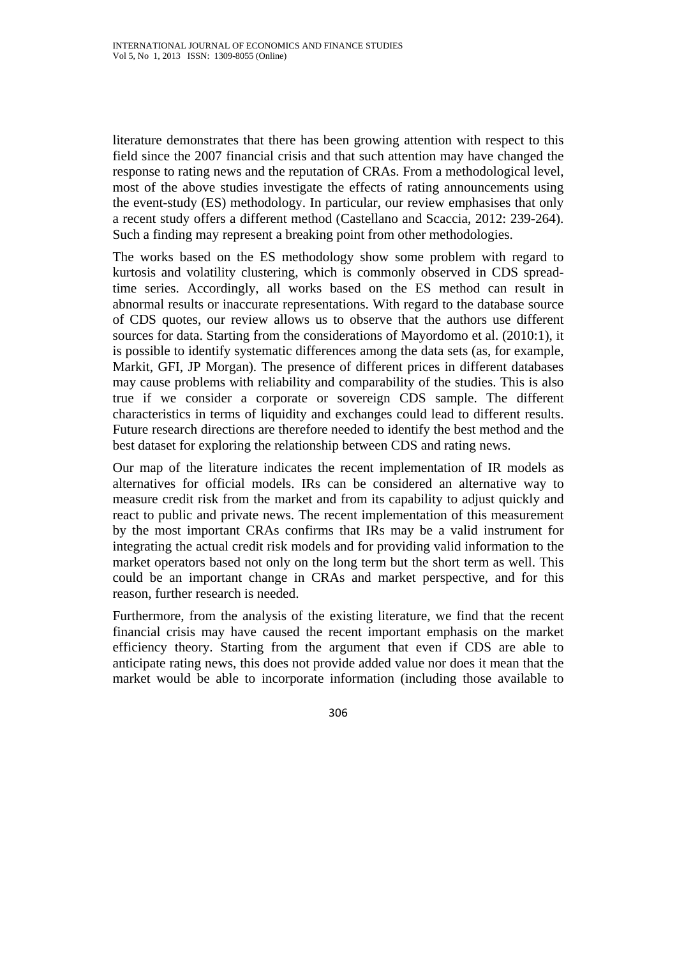literature demonstrates that there has been growing attention with respect to this field since the 2007 financial crisis and that such attention may have changed the response to rating news and the reputation of CRAs. From a methodological level, most of the above studies investigate the effects of rating announcements using the event-study (ES) methodology. In particular, our review emphasises that only a recent study offers a different method (Castellano and Scaccia, 2012: 239-264). Such a finding may represent a breaking point from other methodologies.

The works based on the ES methodology show some problem with regard to kurtosis and volatility clustering, which is commonly observed in CDS spreadtime series. Accordingly, all works based on the ES method can result in abnormal results or inaccurate representations. With regard to the database source of CDS quotes, our review allows us to observe that the authors use different sources for data. Starting from the considerations of Mayordomo et al. (2010:1), it is possible to identify systematic differences among the data sets (as, for example, Markit, GFI, JP Morgan). The presence of different prices in different databases may cause problems with reliability and comparability of the studies. This is also true if we consider a corporate or sovereign CDS sample. The different characteristics in terms of liquidity and exchanges could lead to different results. Future research directions are therefore needed to identify the best method and the best dataset for exploring the relationship between CDS and rating news.

Our map of the literature indicates the recent implementation of IR models as alternatives for official models. IRs can be considered an alternative way to measure credit risk from the market and from its capability to adjust quickly and react to public and private news. The recent implementation of this measurement by the most important CRAs confirms that IRs may be a valid instrument for integrating the actual credit risk models and for providing valid information to the market operators based not only on the long term but the short term as well. This could be an important change in CRAs and market perspective, and for this reason, further research is needed.

Furthermore, from the analysis of the existing literature, we find that the recent financial crisis may have caused the recent important emphasis on the market efficiency theory. Starting from the argument that even if CDS are able to anticipate rating news, this does not provide added value nor does it mean that the market would be able to incorporate information (including those available to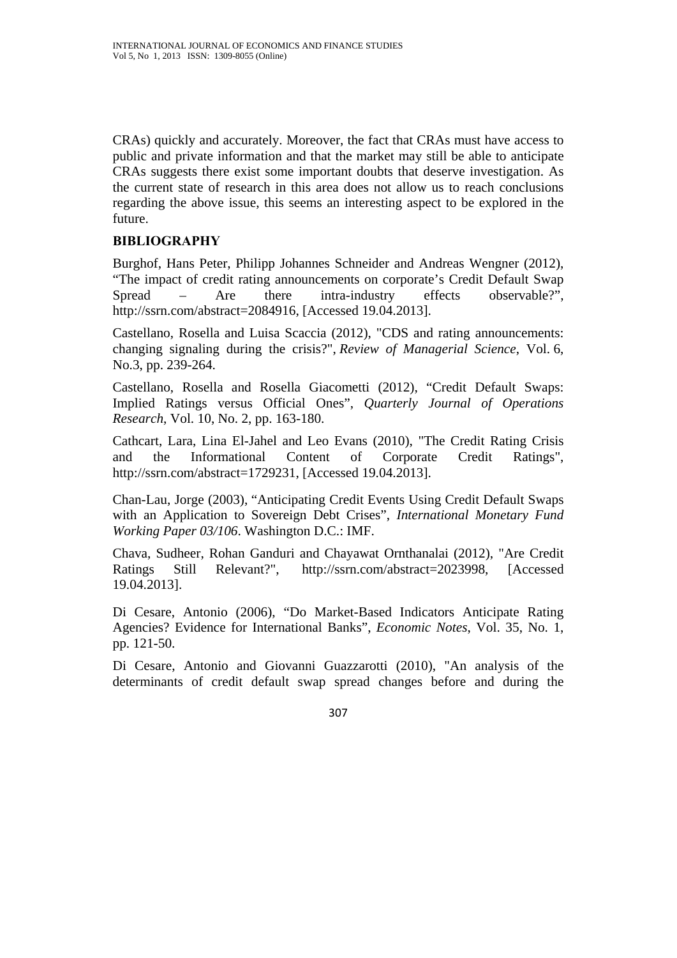CRAs) quickly and accurately. Moreover, the fact that CRAs must have access to public and private information and that the market may still be able to anticipate CRAs suggests there exist some important doubts that deserve investigation. As the current state of research in this area does not allow us to reach conclusions regarding the above issue, this seems an interesting aspect to be explored in the future.

## **BIBLIOGRAPHY**

Burghof, Hans Peter, Philipp Johannes Schneider and Andreas Wengner (2012), "The impact of credit rating announcements on corporate's Credit Default Swap Spread – Are there intra-industry effects observable?", http://ssrn.com/abstract=2084916, [Accessed 19.04.2013].

Castellano, Rosella and Luisa Scaccia (2012), "CDS and rating announcements: changing signaling during the crisis?", *Review of Managerial Science*, Vol. 6, No.3, pp. 239-264.

Castellano, Rosella and Rosella Giacometti (2012), "Credit Default Swaps: Implied Ratings versus Official Ones", *Quarterly Journal of Operations Research*, Vol. 10, No. 2, pp. 163-180.

Cathcart, Lara, Lina El-Jahel and Leo Evans (2010), "The Credit Rating Crisis and the Informational Content of Corporate Credit Ratings", http://ssrn.com/abstract=1729231, [Accessed 19.04.2013].

Chan-Lau, Jorge (2003), "Anticipating Credit Events Using Credit Default Swaps with an Application to Sovereign Debt Crises", *International Monetary Fund Working Paper 03/106*. Washington D.C.: IMF.

Chava, Sudheer, Rohan Ganduri and Chayawat Ornthanalai (2012), "Are Credit Ratings Still Relevant?", http://ssrn.com/abstract=2023998, [Accessed 19.04.2013].

Di Cesare, Antonio (2006), "Do Market-Based Indicators Anticipate Rating Agencies? Evidence for International Banks", *Economic Notes*, Vol. 35, No. 1, pp. 121-50.

Di Cesare, Antonio and Giovanni Guazzarotti (2010), "An analysis of the determinants of credit default swap spread changes before and during the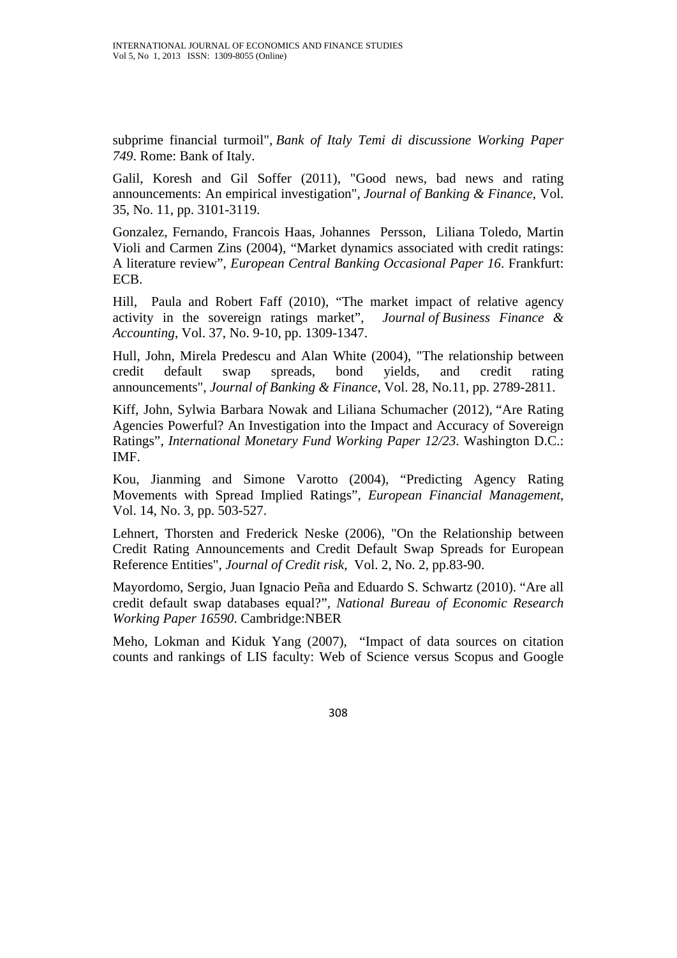subprime financial turmoil", *Bank of Italy Temi di discussione Working Paper 749*. Rome: Bank of Italy.

Galil, Koresh and Gil Soffer (2011), "Good news, bad news and rating announcements: An empirical investigation", *Journal of Banking & Finance*, Vol. 35, No. 11, pp. 3101-3119.

Gonzalez, Fernando, Francois Haas, Johannes Persson, Liliana Toledo, Martin Violi and Carmen Zins (2004), "Market dynamics associated with credit ratings: A literature review", *European Central Banking Occasional Paper 16*. Frankfurt: ECB.

Hill, Paula and Robert Faff (2010), "The market impact of relative agency activity in the sovereign ratings market", *Journal of Business Finance & Accounting*, Vol. 37, No. 9-10, pp. 1309-1347.

Hull, John, Mirela Predescu and Alan White (2004), "The relationship between credit default swap spreads, bond yields, and credit rating announcements", *Journal of Banking & Finance*, Vol. 28, No.11, pp. 2789-2811.

Kiff, John, Sylwia Barbara Nowak and Liliana Schumacher (2012), "Are Rating Agencies Powerful? An Investigation into the Impact and Accuracy of Sovereign Ratings", *International Monetary Fund Working Paper 12/23*. Washington D.C.: IMF.

Kou, Jianming and Simone Varotto (2004), "Predicting Agency Rating Movements with Spread Implied Ratings", *European Financial Management*, Vol. 14, No. 3, pp. 503-527.

Lehnert, Thorsten and Frederick Neske (2006), "On the Relationship between Credit Rating Announcements and Credit Default Swap Spreads for European Reference Entities", *Journal of Credit risk*, Vol. 2, No. 2, pp.83-90.

Mayordomo, Sergio, Juan Ignacio Peña and Eduardo S. Schwartz (2010). "Are all credit default swap databases equal?", *National Bureau of Economic Research Working Paper 16590*. Cambridge:NBER

Meho, Lokman and Kiduk Yang (2007), "Impact of data sources on citation counts and rankings of LIS faculty: Web of Science versus Scopus and Google